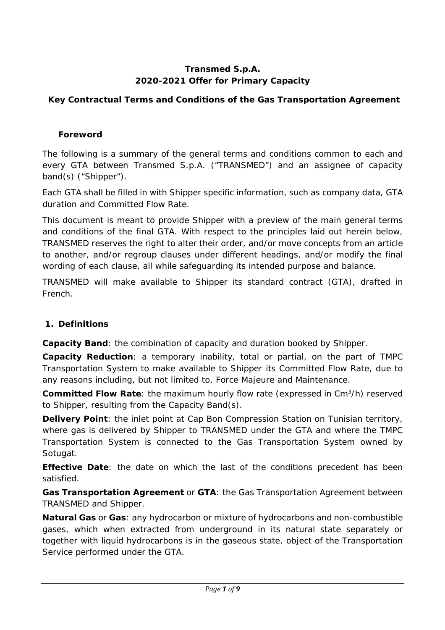### **Transmed S.p.A. 2020-2021 Offer for Primary Capacity**

# **Key Contractual Terms and Conditions of the Gas Transportation Agreement**

### **Foreword**

The following is a summary of the general terms and conditions common to each and every GTA between Transmed S.p.A. ("TRANSMED") and an assignee of capacity band(s) ("Shipper").

Each GTA shall be filled in with Shipper specific information, such as company data, GTA duration and Committed Flow Rate.

This document is meant to provide Shipper with a preview of the main general terms and conditions of the final GTA. With respect to the principles laid out herein below, TRANSMED reserves the right to alter their order, and/or move concepts from an article to another, and/or regroup clauses under different headings, and/or modify the final wording of each clause, all while safeguarding its intended purpose and balance.

TRANSMED will make available to Shipper its standard contract (GTA), drafted in French.

# **1. Definitions**

**Capacity Band**: the combination of capacity and duration booked by Shipper.

**Capacity Reduction**: a temporary inability, total or partial, on the part of TMPC Transportation System to make available to Shipper its Committed Flow Rate, due to any reasons including, but not limited to, Force Majeure and Maintenance.

**Committed Flow Rate**: the maximum hourly flow rate (expressed in Cm3/h) reserved to Shipper, resulting from the Capacity Band(s).

**Delivery Point**: the inlet point at Cap Bon Compression Station on Tunisian territory, where gas is delivered by Shipper to TRANSMED under the GTA and where the TMPC Transportation System is connected to the Gas Transportation System owned by Sotugat.

**Effective Date**: the date on which the last of the conditions precedent has been satisfied.

**Gas Transportation Agreement** or **GTA**: the Gas Transportation Agreement between TRANSMED and Shipper.

**Natural Gas** or **Gas**: any hydrocarbon or mixture of hydrocarbons and non-combustible gases, which when extracted from underground in its natural state separately or together with liquid hydrocarbons is in the gaseous state, object of the Transportation Service performed under the GTA.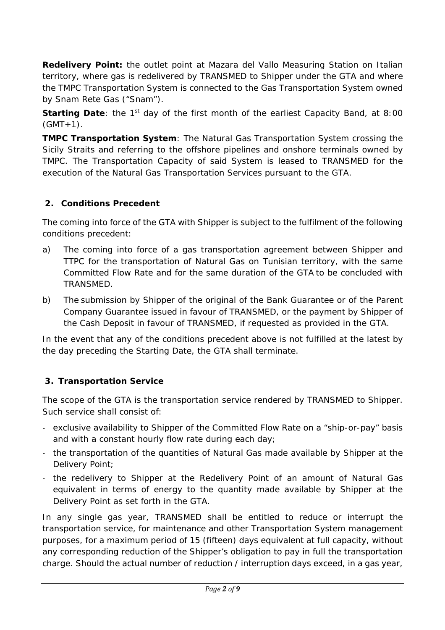**Redelivery Point:** the outlet point at Mazara del Vallo Measuring Station on Italian territory, where gas is redelivered by TRANSMED to Shipper under the GTA and where the TMPC Transportation System is connected to the Gas Transportation System owned by Snam Rete Gas ("Snam").

**Starting Date:** the 1<sup>st</sup> day of the first month of the earliest Capacity Band, at 8:00  $(GMT+1)$ .

**TMPC Transportation System**: The Natural Gas Transportation System crossing the Sicily Straits and referring to the offshore pipelines and onshore terminals owned by TMPC. The Transportation Capacity of said System is leased to TRANSMED for the execution of the Natural Gas Transportation Services pursuant to the GTA.

# **2. Conditions Precedent**

The coming into force of the GTA with Shipper is subject to the fulfilment of the following conditions precedent:

- a) The coming into force of a gas transportation agreement between Shipper and TTPC for the transportation of Natural Gas on Tunisian territory, with the same Committed Flow Rate and for the same duration of the GTA to be concluded with TRANSMED.
- b) The submission by Shipper of the original of the Bank Guarantee or of the Parent Company Guarantee issued in favour of TRANSMED, or the payment by Shipper of the Cash Deposit in favour of TRANSMED, if requested as provided in the GTA.

In the event that any of the conditions precedent above is not fulfilled at the latest by the day preceding the Starting Date, the GTA shall terminate.

# **3. Transportation Service**

The scope of the GTA is the transportation service rendered by TRANSMED to Shipper. Such service shall consist of:

- ‐ exclusive availability to Shipper of the Committed Flow Rate on a "ship-or-pay" basis and with a constant hourly flow rate during each day;
- ‐ the transportation of the quantities of Natural Gas made available by Shipper at the Delivery Point;
- ‐ the redelivery to Shipper at the Redelivery Point of an amount of Natural Gas equivalent in terms of energy to the quantity made available by Shipper at the Delivery Point as set forth in the GTA.

In any single gas year, TRANSMED shall be entitled to reduce or interrupt the transportation service, for maintenance and other Transportation System management purposes, for a maximum period of 15 (fifteen) days equivalent at full capacity, without any corresponding reduction of the Shipper's obligation to pay in full the transportation charge. Should the actual number of reduction / interruption days exceed, in a gas year,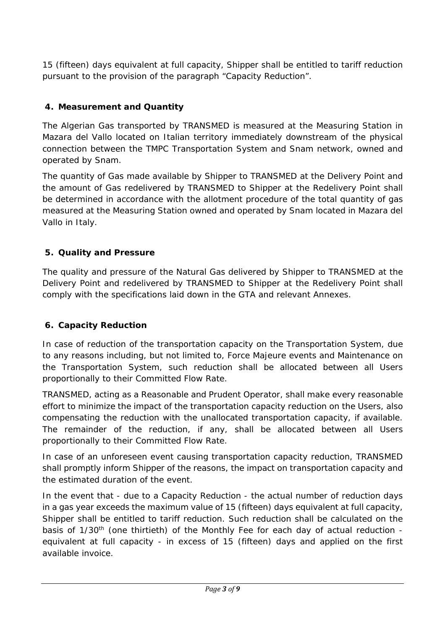15 (fifteen) days equivalent at full capacity, Shipper shall be entitled to tariff reduction pursuant to the provision of the paragraph "Capacity Reduction".

### **4. Measurement and Quantity**

The Algerian Gas transported by TRANSMED is measured at the Measuring Station in Mazara del Vallo located on Italian territory immediately downstream of the physical connection between the TMPC Transportation System and Snam network, owned and operated by Snam.

The quantity of Gas made available by Shipper to TRANSMED at the Delivery Point and the amount of Gas redelivered by TRANSMED to Shipper at the Redelivery Point shall be determined in accordance with the allotment procedure of the total quantity of gas measured at the Measuring Station owned and operated by Snam located in Mazara del Vallo in Italy.

### **5. Quality and Pressure**

The quality and pressure of the Natural Gas delivered by Shipper to TRANSMED at the Delivery Point and redelivered by TRANSMED to Shipper at the Redelivery Point shall comply with the specifications laid down in the GTA and relevant Annexes.

### **6. Capacity Reduction**

In case of reduction of the transportation capacity on the Transportation System, due to any reasons including, but not limited to, Force Majeure events and Maintenance on the Transportation System, such reduction shall be allocated between all Users proportionally to their Committed Flow Rate.

TRANSMED, acting as a Reasonable and Prudent Operator, shall make every reasonable effort to minimize the impact of the transportation capacity reduction on the Users, also compensating the reduction with the unallocated transportation capacity, if available. The remainder of the reduction, if any, shall be allocated between all Users proportionally to their Committed Flow Rate.

In case of an unforeseen event causing transportation capacity reduction, TRANSMED shall promptly inform Shipper of the reasons, the impact on transportation capacity and the estimated duration of the event.

In the event that - due to a Capacity Reduction - the actual number of reduction days in a gas year exceeds the maximum value of 15 (fifteen) days equivalent at full capacity, Shipper shall be entitled to tariff reduction. Such reduction shall be calculated on the basis of 1/30<sup>th</sup> (one thirtieth) of the Monthly Fee for each day of actual reduction equivalent at full capacity - in excess of 15 (fifteen) days and applied on the first available invoice.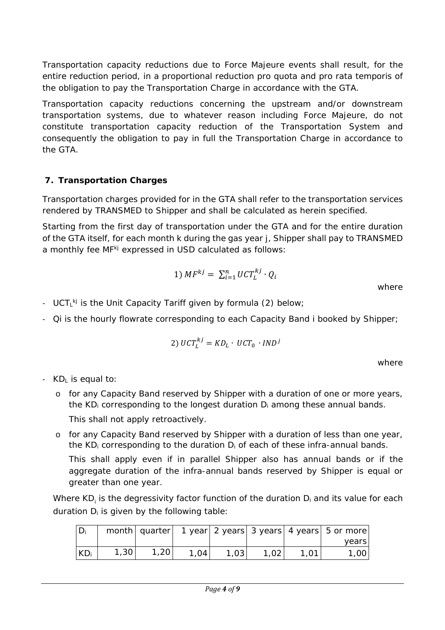Transportation capacity reductions due to Force Majeure events shall result, for the entire reduction period, in a proportional reduction *pro quota* and *pro rata temporis* of the obligation to pay the Transportation Charge in accordance with the GTA.

Transportation capacity reductions concerning the upstream and/or downstream transportation systems, due to whatever reason including Force Majeure, do not constitute transportation capacity reduction of the Transportation System and consequently the obligation to pay in full the Transportation Charge in accordance to the GTA.

# **7. Transportation Charges**

Transportation charges provided for in the GTA shall refer to the transportation services rendered by TRANSMED to Shipper and shall be calculated as herein specified.

Starting from the first day of transportation under the GTA and for the entire duration of the GTA itself, for each month k during the gas year j, Shipper shall pay to TRANSMED a monthly fee *MFkj* expressed in USD calculated as follows:

$$
1) \; MF^{kj} = \; \sum_{i=1}^n UCT_L^{kj} \cdot Q_i
$$

where

- *UCT<sub>L</sub><sup>kj</sup>* is the Unit Capacity Tariff given by formula (2) below;
- ‐ *Qi* is the hourly flowrate corresponding to each Capacity Band i booked by Shipper;

$$
2) \ UCT_L^{kj} = KD_L \cdot UCT_0 \cdot IND^j
$$

where

- ‐ KDL is equal to:
	- o for any Capacity Band reserved by Shipper with a duration of one or more years, the  $KD_i$  corresponding to the longest duration  $D_i$  among these annual bands.

This shall not apply retroactively.

o for any Capacity Band reserved by Shipper with a duration of less than one year, the  $KD_i$  corresponding to the duration  $D_i$  of each of these infra-annual bands.

This shall apply even if in parallel Shipper also has annual bands or if the aggregate duration of the infra-annual bands reserved by Shipper is equal or greater than one year.

Where KD<sub>i</sub> is the degressivity factor function of the duration D<sub>i</sub> and its value for each duration  $D_i$  is given by the following table:

|                 |      | month   quarter |      |      |  | 1 year 2 years 3 years 4 years 5 or more |
|-----------------|------|-----------------|------|------|--|------------------------------------------|
|                 |      |                 |      |      |  | vears                                    |
| KD <sub>i</sub> | 1,30 | ,20             | 1,04 | 1,03 |  | 1,00                                     |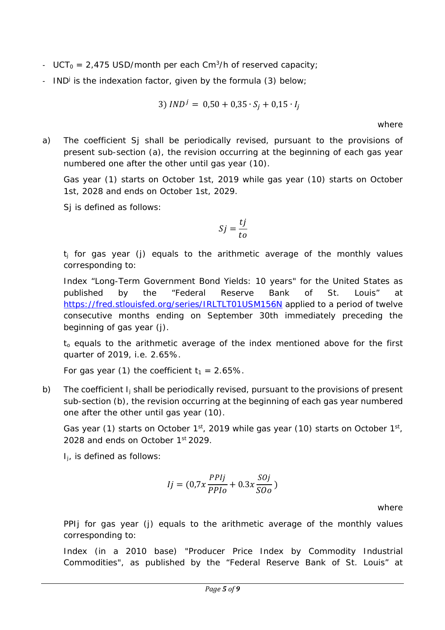- $UCT_0 = 2,475$  USD/month per each Cm<sup>3</sup>/h of reserved capacity;
- *IND* is the indexation factor, given by the formula (3) below;

$$
3) \, IND^j = 0.50 + 0.35 \cdot S_j + 0.15 \cdot I_j
$$

where

a) The coefficient *Sj* shall be periodically revised, pursuant to the provisions of present sub-section (a), the revision occurring at the beginning of each gas year numbered one after the other until gas year (10).

Gas year (1) starts on October 1st, 2019 while gas year (10) starts on October 1st, 2028 and ends on October 1st, 2029.

*Si* is defined as follows:

$$
Sj = \frac{tj}{to}
$$

*tj* for gas year (j) equals to the arithmetic average of the monthly values corresponding to:

Index "Long-Term Government Bond Yields: 10 years" for the United States as published by the "Federal Reserve Bank of St. Louis" at https://fred.stlouisfed.org/series/IRLTLT01USM156N applied to a period of twelve consecutive months ending on September 30th immediately preceding the beginning of gas year (j).

*to* equals to the arithmetic average of the index mentioned above for the first quarter of 2019, i.e. 2.65%.

For gas year (1) the coefficient  $t_1 = 2.65\%$ .

b) The coefficient *Ij* shall be periodically revised, pursuant to the provisions of present sub-section (b), the revision occurring at the beginning of each gas year numbered one after the other until gas year (10).

Gas year (1) starts on October  $1^{st}$ , 2019 while gas year (10) starts on October  $1^{st}$ , 2028 and ends on October 1<sup>st</sup> 2029.

*I<sub>i</sub>*, is defined as follows:

$$
Ij = (0.7x \frac{PPIj}{PPIo} + 0.3x \frac{SOj}{SOo})
$$

where

*PPIj* for gas year (j) equals to the arithmetic average of the monthly values corresponding to:

Index (in a 2010 base) "Producer Price Index by Commodity Industrial Commodities", as published by the "Federal Reserve Bank of St. Louis" at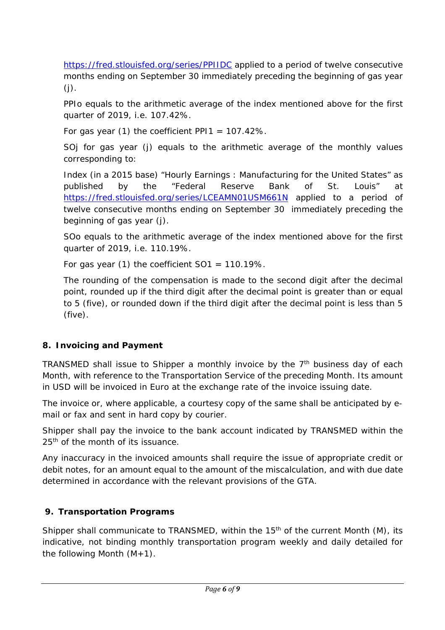https://fred.stlouisfed.org/series/PPIIDC applied to a period of twelve consecutive months ending on September 30 immediately preceding the beginning of gas year  $(j)$ .

*PPIo* equals to the arithmetic average of the index mentioned above for the first quarter of 2019, i.e. 107.42%.

For gas year (1) the coefficient *PPI1* = 107.42%.

*SOj* for gas year (j) equals to the arithmetic average of the monthly values corresponding to:

Index (in a 2015 base) "Hourly Earnings : Manufacturing for the United States" as published by the "Federal Reserve Bank of St. Louis" at https://fred.stlouisfed.org/series/LCEAMN01USM661N applied to a period of twelve consecutive months ending on September 30 immediately preceding the beginning of gas year (j).

*SOo* equals to the arithmetic average of the index mentioned above for the first quarter of 2019, i.e. 110.19%.

For gas year (1) the coefficient *SO1* = 110.19%.

The rounding of the compensation is made to the second digit after the decimal point, rounded up if the third digit after the decimal point is greater than or equal to 5 (five), or rounded down if the third digit after the decimal point is less than 5 (five).

# **8. Invoicing and Payment**

TRANSMED shall issue to Shipper a monthly invoice by the  $7<sup>th</sup>$  business day of each Month, with reference to the Transportation Service of the preceding Month. Its amount in USD will be invoiced in Euro at the exchange rate of the invoice issuing date.

The invoice or, where applicable, a courtesy copy of the same shall be anticipated by email or fax and sent in hard copy by courier.

Shipper shall pay the invoice to the bank account indicated by TRANSMED within the 25<sup>th</sup> of the month of its issuance.

Any inaccuracy in the invoiced amounts shall require the issue of appropriate credit or debit notes, for an amount equal to the amount of the miscalculation, and with due date determined in accordance with the relevant provisions of the GTA.

# **9. Transportation Programs**

Shipper shall communicate to TRANSMED, within the 15<sup>th</sup> of the current Month (M), its indicative, not binding monthly transportation program weekly and daily detailed for the following Month  $(M+1)$ .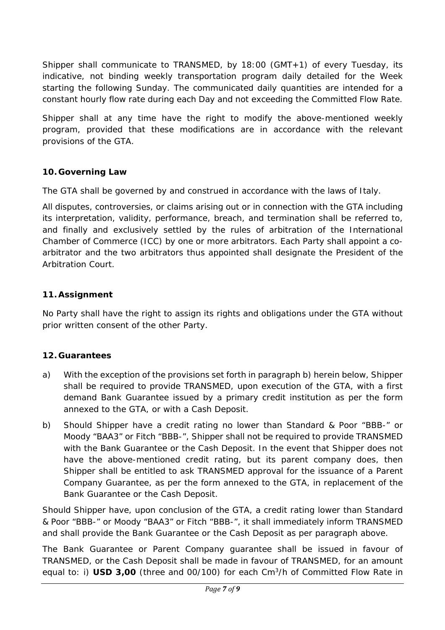Shipper shall communicate to TRANSMED, by 18:00 (GMT+1) of every Tuesday, its indicative, not binding weekly transportation program daily detailed for the Week starting the following Sunday. The communicated daily quantities are intended for a constant hourly flow rate during each Day and not exceeding the Committed Flow Rate.

Shipper shall at any time have the right to modify the above-mentioned weekly program, provided that these modifications are in accordance with the relevant provisions of the GTA.

### **10. Governing Law**

The GTA shall be governed by and construed in accordance with the laws of Italy.

All disputes, controversies, or claims arising out or in connection with the GTA including its interpretation, validity, performance, breach, and termination shall be referred to, and finally and exclusively settled by the rules of arbitration of the International Chamber of Commerce (ICC) by one or more arbitrators. Each Party shall appoint a coarbitrator and the two arbitrators thus appointed shall designate the President of the Arbitration Court.

### **11. Assignment**

No Party shall have the right to assign its rights and obligations under the GTA without prior written consent of the other Party.

# **12. Guarantees**

- a) With the exception of the provisions set forth in paragraph b) herein below, Shipper shall be required to provide TRANSMED, upon execution of the GTA, with a first demand Bank Guarantee issued by a primary credit institution as per the form annexed to the GTA, or with a Cash Deposit.
- b) Should Shipper have a credit rating no lower than Standard & Poor "BBB-" or Moody "BAA3" or Fitch "BBB-", Shipper shall not be required to provide TRANSMED with the Bank Guarantee or the Cash Deposit. In the event that Shipper does not have the above-mentioned credit rating, but its parent company does, then Shipper shall be entitled to ask TRANSMED approval for the issuance of a Parent Company Guarantee, as per the form annexed to the GTA, in replacement of the Bank Guarantee or the Cash Deposit.

Should Shipper have, upon conclusion of the GTA, a credit rating lower than Standard & Poor "BBB-" or Moody "BAA3" or Fitch "BBB-", it shall immediately inform TRANSMED and shall provide the Bank Guarantee or the Cash Deposit as per paragraph above.

The Bank Guarantee or Parent Company guarantee shall be issued in favour of TRANSMED, or the Cash Deposit shall be made in favour of TRANSMED, for an amount equal to: i) **USD 3,00** (three and 00/100) for each Cm<sup>3</sup>/h of Committed Flow Rate in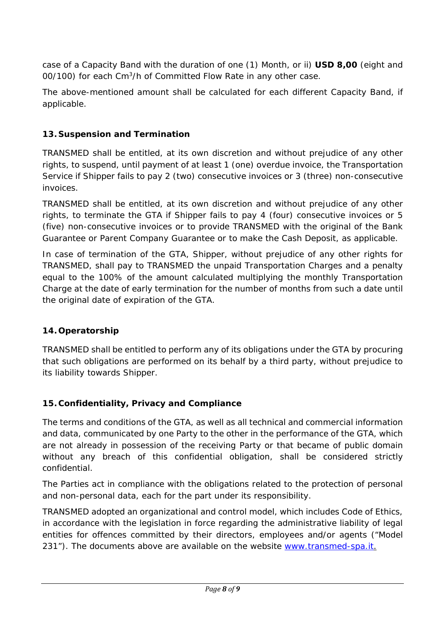case of a Capacity Band with the duration of one (1) Month, or ii) **USD 8,00** (eight and 00/100) for each Cm<sup>3</sup>/h of Committed Flow Rate in any other case.

The above-mentioned amount shall be calculated for each different Capacity Band, if applicable.

# **13. Suspension and Termination**

TRANSMED shall be entitled, at its own discretion and without prejudice of any other rights, to suspend, until payment of at least 1 (one) overdue invoice, the Transportation Service if Shipper fails to pay 2 (two) consecutive invoices or 3 (three) non-consecutive invoices.

TRANSMED shall be entitled, at its own discretion and without prejudice of any other rights, to terminate the GTA if Shipper fails to pay 4 (four) consecutive invoices or 5 (five) non-consecutive invoices or to provide TRANSMED with the original of the Bank Guarantee or Parent Company Guarantee or to make the Cash Deposit, as applicable.

In case of termination of the GTA, Shipper, without prejudice of any other rights for TRANSMED, shall pay to TRANSMED the unpaid Transportation Charges and a penalty equal to the 100% of the amount calculated multiplying the monthly Transportation Charge at the date of early termination for the number of months from such a date until the original date of expiration of the GTA.

### **14. Operatorship**

TRANSMED shall be entitled to perform any of its obligations under the GTA by procuring that such obligations are performed on its behalf by a third party, without prejudice to its liability towards Shipper.

### **15. Confidentiality, Privacy and Compliance**

The terms and conditions of the GTA, as well as all technical and commercial information and data, communicated by one Party to the other in the performance of the GTA, which are not already in possession of the receiving Party or that became of public domain without any breach of this confidential obligation, shall be considered strictly confidential.

The Parties act in compliance with the obligations related to the protection of personal and non-personal data, each for the part under its responsibility.

TRANSMED adopted an organizational and control model, which includes Code of Ethics, in accordance with the legislation in force regarding the administrative liability of legal entities for offences committed by their directors, employees and/or agents ("Model 231"). The documents above are available on the website www.transmed-spa.it.